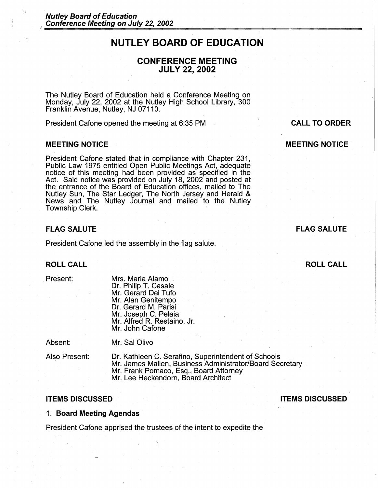## **NUTLEY BOARD OF EDUCATION**

## **CONFERENCE MEETING JULY 22, 2002**

The Nutley Board of Education held a Conference Meeting on Monday, July 22, 2002 at the Nutley High School Library, 300 Franklin Avenue, Nutley, NJ 07110.

President Cafone opened the meeting at 6:35 PM

#### **MEETING NOTICE**

President Cafone stated that in compliance with Chapter 231, Public Law 1975 entitled Open Public Meetings Act, adequate notice of this meeting had been provided as specified in the Act. Said notice was provided on July 18, 2002 and posted at the entrance of the Board of Education offices, mailed to The Nutley Sun, The Star Ledger, The North Jersey and Herald & News and The Nutley Journal and mailed to the Nutley Township Clerk.

## **FLAG SALUTE**

President Catone led the assembly in the flag salute.

Mr. Sal Olivo

## **ROLL CALL**

. Present:

Mrs. Maria Alamo Dr. Philip T. Casale Mr. Gerard Del Tufo Mr. Alan Genitempo Dr. Gerard M. Parisi Mr. Joseph C. Pelaia Mr. Alfred R. Restaino, Jr. Mr. John Catone

Absent:

Also Present:

Dr. Kathleen C. Serafino, Superintendent of Schools Mr. James Mallen, Business Administrator/Board Secretary Mr. Frank Pomaco, Esq., Board Attorney Mr. Lee Heckendorn, Board Architect

## **ITEMS DISCUSSED ITEMS DISCUSSED**

## 1. **Board Meeting Agendas**

President Catone apprised the trustees of the intent to expedite the

# **CALL TO ORDER**

**MEETING NOTICE** 

## **FLAG SALUTE**

**ROLL CALL**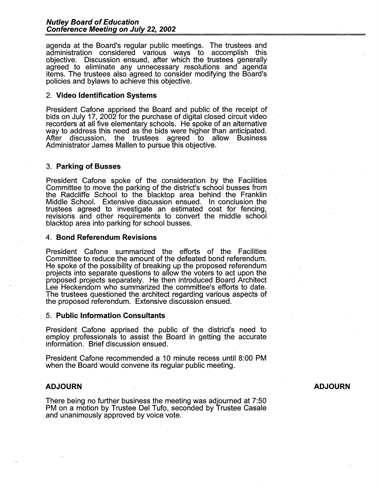#### **Nutley Board of Education Conference Meeting on July 22, 2002**

agenda at the Board's regular public meetings. The trustees and administration considered various ways to accomplish this objective. Discussion ensued, after which the trustees generally agreed to eliminate any unnecessary resolutions and agenda items. The trustees also agreed to consider modifying the Board's policies and bylaws to achieve this objective.

### 2. **Video Identification Systems**

President Cafone apprised the Board and public of the receipt of bids on July 17, 2002 for the purchase of digital closed circuit video recorders at all five elementary schools. He spoke of an alternative way to address this need as the bids were higher than anticipated. After discussion, the trustees agreed to allow Business Administrator James Mallen to pursue this objective.

#### 3. **Parking of Busses**

President Catone spoke of the consideration by the Facilities Committee to move the parking of the district's school busses from the Radcliffe School to the blacktop area behind the Franklin Middle School. Extensive discussion ensued. In conclusion the trustees agreed to investigate an estimated cost for fencing, revisions and other requirements to convert the middle school blacktop area into parking for school busses.

#### **4. Bond Referendum Revisions**

President Catone summarized the efforts of the Facilities Committee to reduce the amount of the defeated bond referendum. He spoke of the possibility of breaking up the proposed referendum projects into separate questions to allow the voters to act upon the proposed projects separately. He then introduced Board Architect Lee Heckendorn who summarized the committee's efforts to date. The trustees questioned the architect regarding various aspects of the proposed referendum. Extensive discussion ensued.

#### **5. Public Information Consultants**

President Catone apprised the public of the district's need to employ professionals to assist the Board in getting the accurate information. Brief discussion ensued.

President Cafone recommended a 10 minute recess until 8:00 PM when the Board would convene its regular public meeting.

## **ADJOURN**

There being no further business the meeting was adjourned at 7:50 PM on a motion by Trustee Del Tufo, seconded by Trustee Casale and unanimously approved by voice vote.

**ADJOURN**